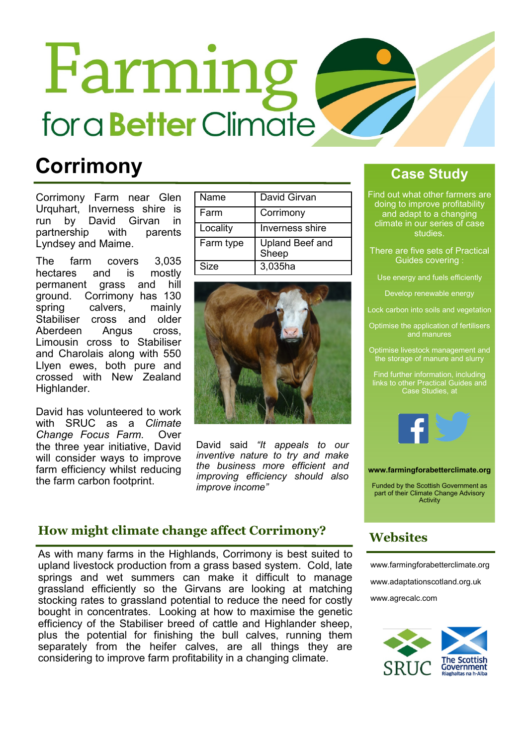# Farming for a **Better** Climate

### **Corrimony**

Corrimony Farm near Glen Urquhart, Inverness shire is run by David Girvan in partnership with parents Lyndsey and Maime.

The farm covers 3,035 hectares and is mostly permanent grass and hill ground. Corrimony has 130 spring calvers, mainly Stabiliser cross and older Aberdeen Angus cross, Limousin cross to Stabiliser and Charolais along with 550 Llyen ewes, both pure and crossed with New Zealand Highlander.

David has volunteered to work with SRUC as a Climate Change Focus Farm. Over the three year initiative, David will consider ways to improve farm efficiency whilst reducing the farm carbon footprint.

| Name      | David Girvan                    |
|-----------|---------------------------------|
| Farm      | Corrimony                       |
| Locality  | Inverness shire                 |
| Farm type | <b>Upland Beef and</b><br>Sheep |
| Size      | 3,035ha                         |



David said "It appeals to our inventive nature to try and make the business more efficient and improving efficiency should also improve income"

### How might climate change affect Corrimony?

As with many farms in the Highlands, Corrimony is best suited to upland livestock production from a grass based system. Cold, late springs and wet summers can make it difficult to manage grassland efficiently so the Girvans are looking at matching stocking rates to grassland potential to reduce the need for costly bought in concentrates. Looking at how to maximise the genetic efficiency of the Stabiliser breed of cattle and Highlander sheep, plus the potential for finishing the bull calves, running them separately from the heifer calves, are all things they are considering to improve farm profitability in a changing climate.

### Case Study

Find out what other farmers are doing to improve profitability and adapt to a changing climate in our series of case studies.

There are five sets of Practical Guides covering :

Use energy and fuels efficiently

Develop renewable energy

Lock carbon into soils and vegetation

Optimise the application of fertilisers

Optimise livestock management and the storage of manure and slurry

Find further information, including links to other Practical Guides and Case Studies, at



#### www.farmingforabetterclimate.org

Funded by the Scottish Government as part of their Climate Change Advisory **Activity** 

### **Websites**

www.farmingforabetterclimate.org www.adaptationscotland.org.uk www.agrecalc.com